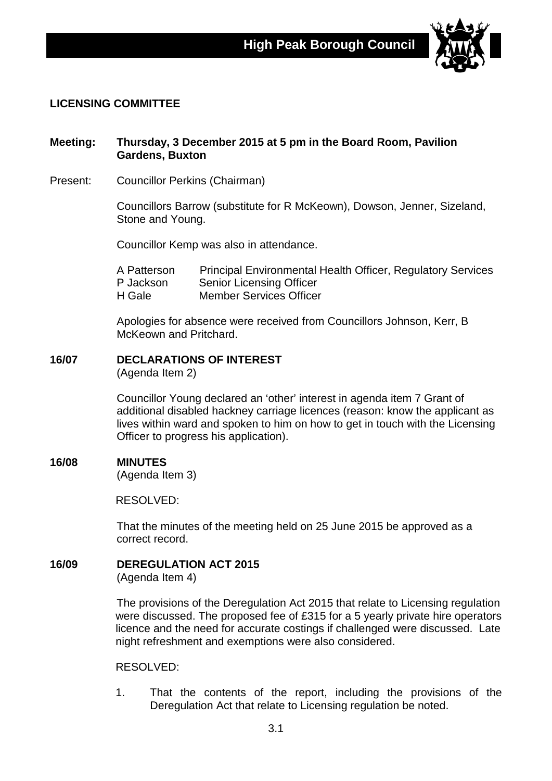

# **LICENSING COMMITTEE**

# **Meeting: Thursday, 3 December 2015 at 5 pm in the Board Room, Pavilion Gardens, Buxton**

Present: Councillor Perkins (Chairman)

Councillors Barrow (substitute for R McKeown), Dowson, Jenner, Sizeland, Stone and Young.

Councillor Kemp was also in attendance.

A Patterson Principal Environmental Health Officer, Regulatory Services<br>P Jackson Senior Licensing Officer Senior Licensing Officer H Gale Member Services Officer

Apologies for absence were received from Councillors Johnson, Kerr, B McKeown and Pritchard.

# **16/07 DECLARATIONS OF INTEREST**

(Agenda Item 2)

Councillor Young declared an 'other' interest in agenda item 7 Grant of additional disabled hackney carriage licences (reason: know the applicant as lives within ward and spoken to him on how to get in touch with the Licensing Officer to progress his application).

# **16/08 MINUTES**

(Agenda Item 3)

RESOLVED:

That the minutes of the meeting held on 25 June 2015 be approved as a correct record.

**16/09 DEREGULATION ACT 2015**

(Agenda Item 4)

The provisions of the Deregulation Act 2015 that relate to Licensing regulation were discussed. The proposed fee of £315 for a 5 yearly private hire operators licence and the need for accurate costings if challenged were discussed. Late night refreshment and exemptions were also considered.

RESOLVED:

1. That the contents of the report, including the provisions of the Deregulation Act that relate to Licensing regulation be noted.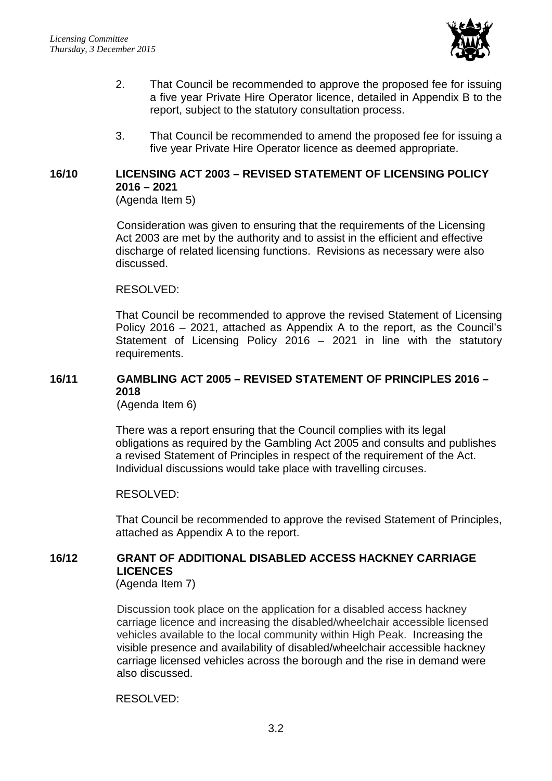

- 2. That Council be recommended to approve the proposed fee for issuing a five year Private Hire Operator licence, detailed in Appendix B to the report, subject to the statutory consultation process.
- 3. That Council be recommended to amend the proposed fee for issuing a five year Private Hire Operator licence as deemed appropriate.

# **16/10 LICENSING ACT 2003 – REVISED STATEMENT OF LICENSING POLICY 2016 – 2021**

(Agenda Item 5)

Consideration was given to ensuring that the requirements of the Licensing Act 2003 are met by the authority and to assist in the efficient and effective discharge of related licensing functions. Revisions as necessary were also discussed.

# RESOLVED:

That Council be recommended to approve the revised Statement of Licensing Policy 2016 – 2021, attached as Appendix A to the report, as the Council's Statement of Licensing Policy 2016 – 2021 in line with the statutory requirements.

# **16/11 GAMBLING ACT 2005 – REVISED STATEMENT OF PRINCIPLES 2016 – 2018**

(Agenda Item 6)

There was a report ensuring that the Council complies with its legal obligations as required by the Gambling Act 2005 and consults and publishes a revised Statement of Principles in respect of the requirement of the Act. Individual discussions would take place with travelling circuses.

# RESOLVED:

That Council be recommended to approve the revised Statement of Principles, attached as Appendix A to the report.

# **16/12 GRANT OF ADDITIONAL DISABLED ACCESS HACKNEY CARRIAGE LICENCES**

(Agenda Item 7)

Discussion took place on the application for a disabled access hackney carriage licence and increasing the disabled/wheelchair accessible licensed vehicles available to the local community within High Peak. Increasing the visible presence and availability of disabled/wheelchair accessible hackney carriage licensed vehicles across the borough and the rise in demand were also discussed.

RESOLVED: